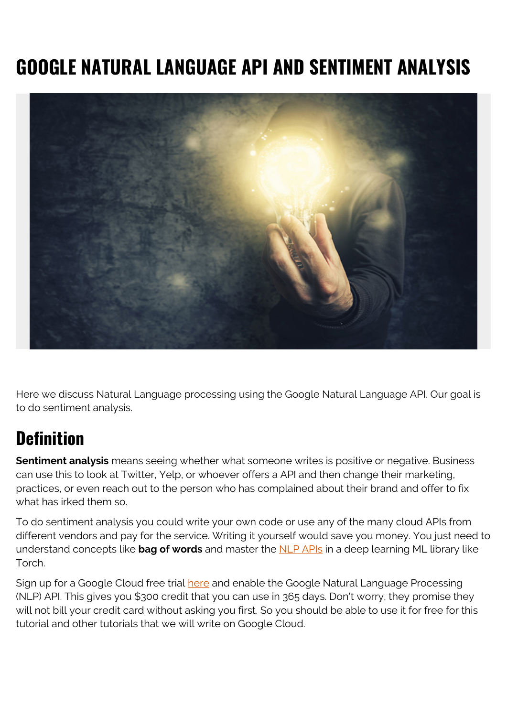# **GOOGLE NATURAL LANGUAGE API AND SENTIMENT ANALYSIS**



Here we discuss Natural Language processing using the Google Natural Language API. Our goal is to do sentiment analysis.

#### **Definition**

**Sentiment analysis** means seeing whether what someone writes is positive or negative. Business can use this to look at Twitter, Yelp, or whoever offers a API and then change their marketing, practices, or even reach out to the person who has complained about their brand and offer to fix what has irked them so.

To do sentiment analysis you could write your own code or use any of the many cloud APIs from different vendors and pay for the service. Writing it yourself would save you money. You just need to understand concepts like **bag of words** and master the [NLP APIs](https://github.com/torch/torch7/wiki/Cheatsheet#natural-language-processing) in a deep learning ML library like Torch.

Sign up for a Google Cloud free trial [here](https://cloud.google.com/natural-language/) and enable the Google Natural Language Processing (NLP) API. This gives you \$300 credit that you can use in 365 days. Don't worry, they promise they will not bill your credit card without asking you first. So you should be able to use it for free for this tutorial and other tutorials that we will write on Google Cloud.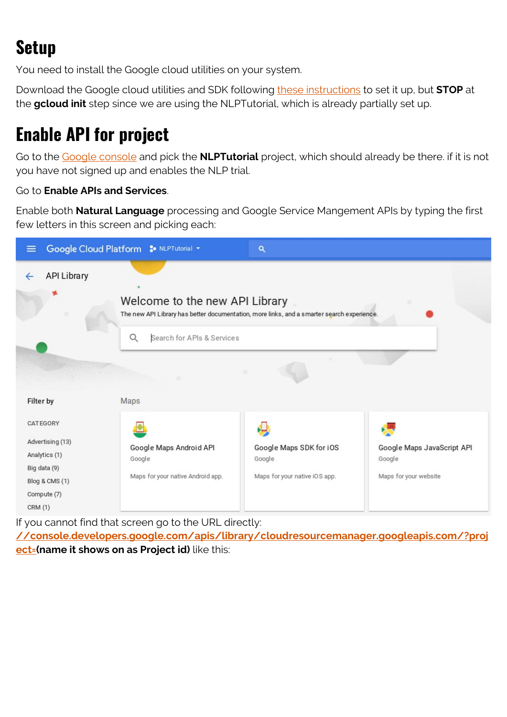# **Setup**

You need to install the Google cloud utilities on your system.

Download the Google cloud utilities and SDK following [these instructions](https://cloud.google.com/sdk/docs/quickstart-debian-ubuntu) to set it up, but **STOP** at the **gcloud init** step since we are using the NLPTutorial, which is already partially set up.

## **Enable API for project**

Go to the [Google console](https://console.cloud.google.com/) and pick the **NLPTutorial** project, which should already be there. if it is not you have not signed up and enables the NLP trial.

#### Go to **Enable APIs and Services**.

Enable both **Natural Language** processing and Google Service Mangement APIs by typing the first few letters in this screen and picking each:



If you cannot find that screen go to the URL directly:

**[//console.developers.google.com/apis/library/cloudresourcemanager.googleapis.com/?proj](https://console.developers.google.com/apis/library/cloudresourcemanager.googleapis.com/?project=nlptutorial-194703) [ect=\(](https://console.developers.google.com/apis/library/cloudresourcemanager.googleapis.com/?project=nlptutorial-194703)name it shows on as Project id)** like this: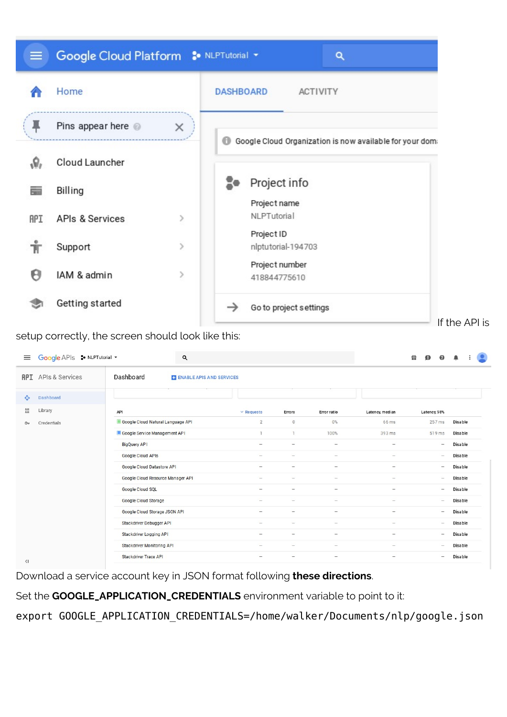

setup correctly, the screen should look like this:

| $\equiv$                           | Google APIs : NLPTutorial + |                                   | Q                        |                                   |                          |                                   |                          | Ħ<br>$\mathbf{D}$<br>◉                                                    | ۸              | $\frac{1}{2}$ |
|------------------------------------|-----------------------------|-----------------------------------|--------------------------|-----------------------------------|--------------------------|-----------------------------------|--------------------------|---------------------------------------------------------------------------|----------------|---------------|
| <b>API</b>                         | <b>APIs &amp; Services</b>  | Dashboard                         | ENABLE APIS AND SERVICES |                                   |                          |                                   |                          |                                                                           |                |               |
| ÷                                  | Dashboard                   |                                   |                          |                                   |                          |                                   |                          |                                                                           |                |               |
| 쁦                                  | Library                     | API                               |                          | $\vee$ Requests                   | Errors                   | Error ratio                       | Latency, median          | Latency, 98%                                                              |                |               |
| $O-$                               | Credentials                 | Google Cloud Natural Language API |                          | $\overline{2}$                    | $\circ$                  | 0%                                | 66 ms                    | 257 ms                                                                    | <b>Disable</b> |               |
|                                    |                             | Google Service Management API     |                          | $\overline{1}$                    | $\mathbf{1}$             | 100%                              | 393 ms                   | 519 ms                                                                    | <b>Disable</b> |               |
|                                    |                             | <b>BigQuery AP1</b>               |                          | $\overline{\phantom{a}}$          | $\overline{\phantom{a}}$ | $\hspace{1.0cm} = \hspace{1.0cm}$ |                          | $\hspace{1.0cm} - \hspace{1.0cm}$                                         | <b>Disable</b> |               |
|                                    |                             | Google Cloud APIs                 |                          | $\sim$                            | $\overline{\phantom{a}}$ | $\hspace{1.0cm} = \hspace{1.0cm}$ | -                        | $\hspace{0.1in} - \hspace{0.1in}$                                         | <b>Disable</b> |               |
|                                    |                             | Google Cloud Datastore API        |                          | $\overline{\phantom{m}}$          |                          | $\overline{\phantom{m}}$          | $\overline{\phantom{m}}$ | $\hspace{1.0cm} - \hspace{1.0cm}$                                         | <b>Disable</b> |               |
|                                    |                             | Google Cloud Resource Manager API |                          |                                   | $-$                      | $\overline{\phantom{a}}$          |                          | $\overline{\phantom{a}}$                                                  | <b>Disable</b> |               |
|                                    |                             | Google Cloud SQL                  |                          | $\qquad \qquad -$                 | $\overline{\phantom{a}}$ | $\overline{\phantom{a}}$          | $\overline{\phantom{a}}$ | $\overline{\phantom{a}}$                                                  | <b>Disable</b> |               |
|                                    |                             | Google Cloud Storage              |                          |                                   | $\overline{\phantom{0}}$ | $\overline{\phantom{a}}$          | $-$                      | $\hspace{1.0cm} \rule{1.5cm}{0.15cm} \hspace{1.0cm} \rule{1.5cm}{0.15cm}$ | <b>Disable</b> |               |
|                                    |                             | Google Cloud Storage JSON API     |                          | $\qquad \qquad -$                 | $\qquad \qquad -$        | $\overline{\phantom{a}}$          | $\qquad \qquad -$        | $\overline{\phantom{a}}$                                                  | <b>Disable</b> |               |
|                                    |                             | Stackdriver Debugger API          |                          | $\hspace{1.0cm} - \hspace{1.0cm}$ |                          | $\overline{\phantom{a}}$          | $\overline{\phantom{a}}$ | $\overline{\phantom{a}}$                                                  | <b>Disable</b> |               |
|                                    |                             | Stackdriver Logging API           |                          | $\overline{\phantom{a}}$          | $\overline{\phantom{0}}$ | $\hspace{1.0cm} - \hspace{1.0cm}$ | $\overline{\phantom{0}}$ | $\hspace{1.0cm} - \hspace{1.0cm}$                                         | <b>Disable</b> |               |
|                                    |                             | Stackdriver Monitoring API        |                          | $\overline{\phantom{0}}$          | $\overline{\phantom{0}}$ | $\hspace{1.0cm}-\hspace{1.0cm}$   | $\overline{\phantom{0}}$ | $\hspace{1.0cm} - \hspace{1.0cm}$                                         | <b>Disable</b> |               |
| $\left\langle \cdot \right\rangle$ |                             | <b>Stackdriver Trace API</b>      |                          | $\overline{\phantom{a}}$          | $\overline{\phantom{a}}$ | $\hspace{1.0cm} - \hspace{1.0cm}$ | -                        | $\hspace{1.0cm} \rule{1.5cm}{0.15cm} \hspace{1.0cm} \rule{1.5cm}{0.15cm}$ | <b>Disable</b> |               |

Download a service account key in JSON format following **these directions**.

Set the **GOOGLE\_APPLICATION\_CREDENTIALS** environment variable to point to it:

export GOOGLE APPLICATION CREDENTIALS=/home/walker/Documents/nlp/google.json